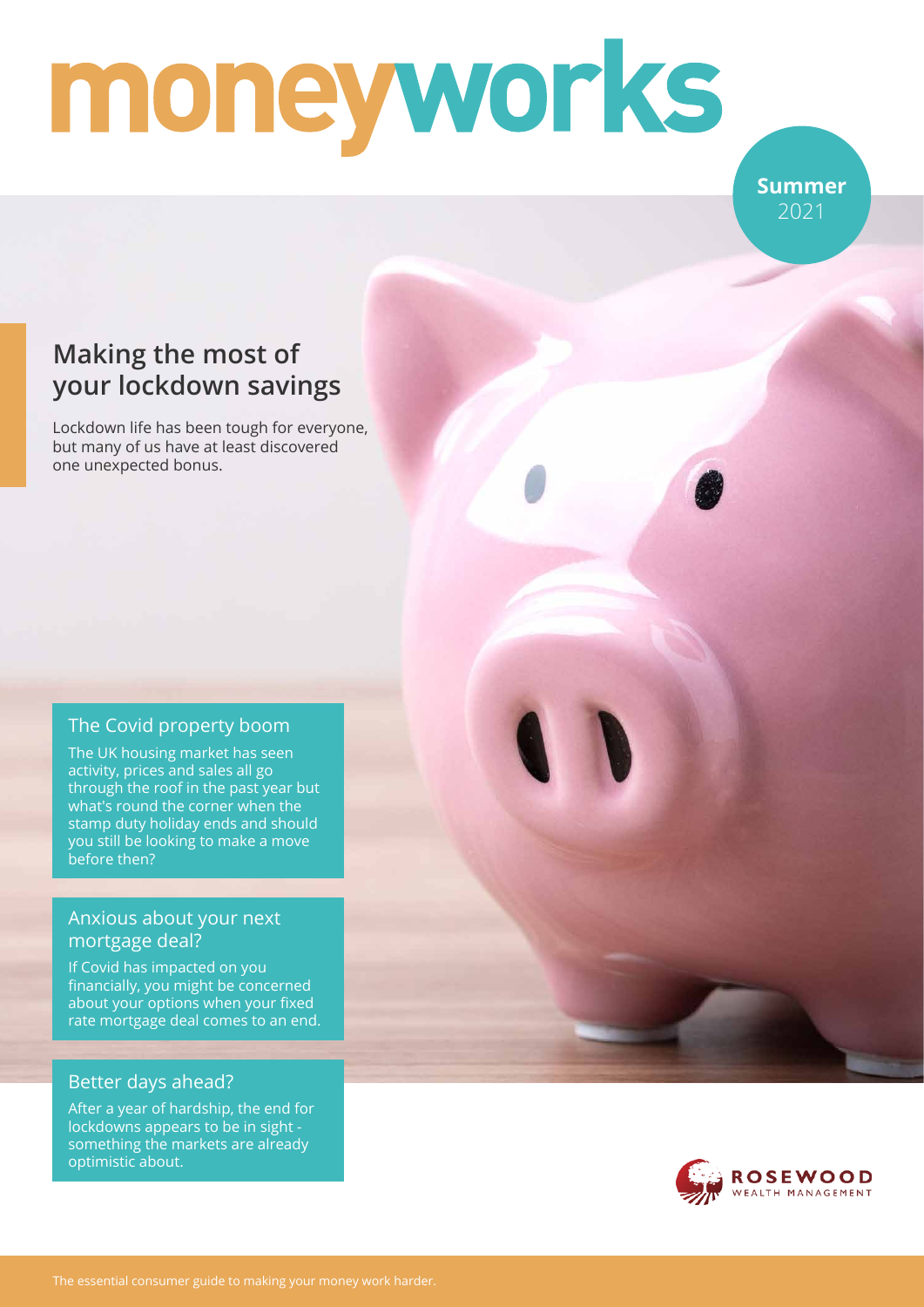# moneyworks

**Summer** 2021

## **Making the most of your lockdown savings**

Lockdown life has been tough for everyone, but many of us have at least discovered one unexpected bonus.

#### The Covid property boom

The UK housing market has seen activity, prices and sales all go through the roof in the past year but what's round the corner when the stamp duty holiday ends and should you still be looking to make a move before then?

#### Anxious about your next mortgage deal?

If Covid has impacted on you financially, you might be concerned about your options when your fixed rate mortgage deal comes to an end.

#### Better days ahead?

After a year of hardship, the end for lockdowns appears to be in sight something the markets are already optimistic about.

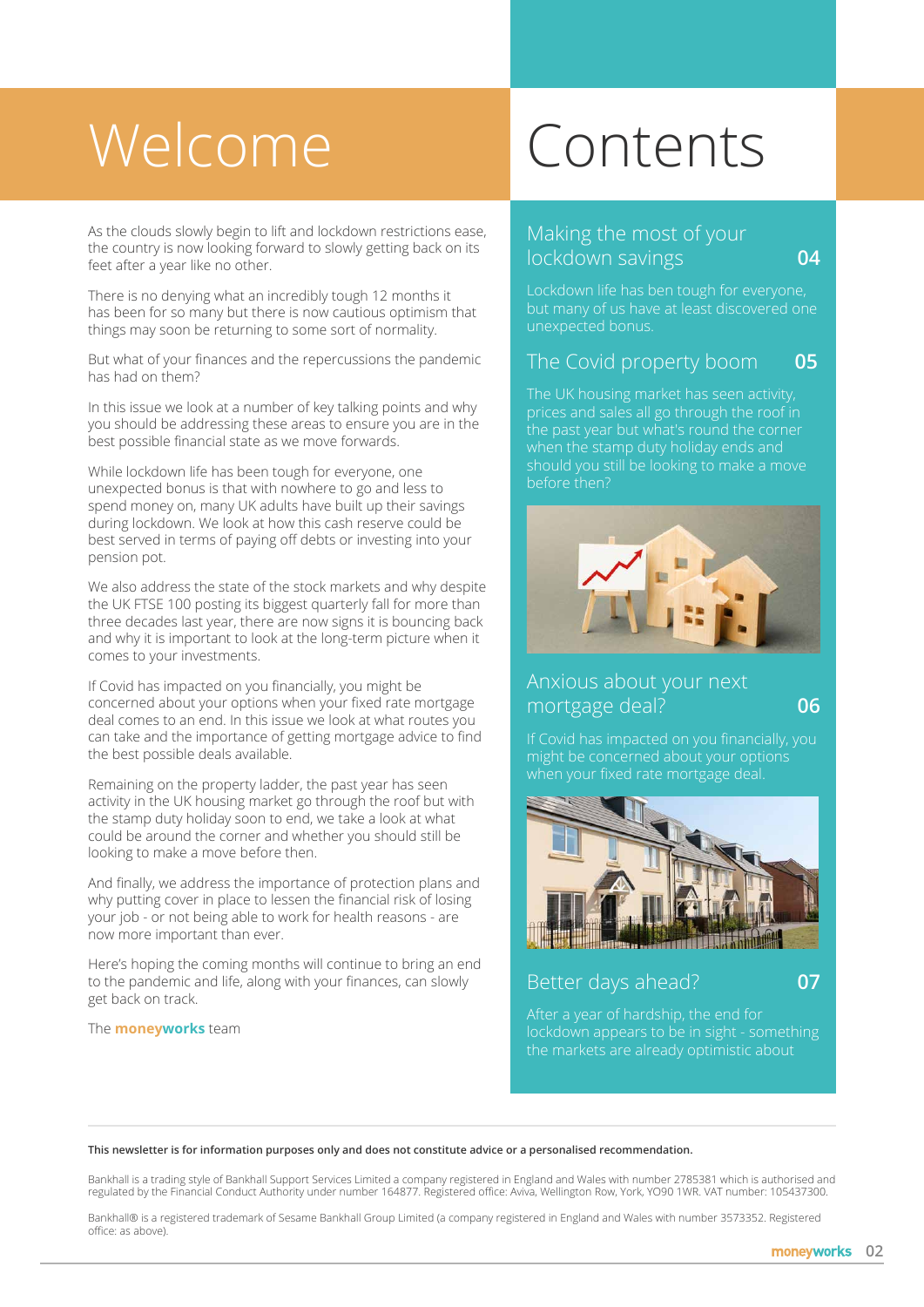# Welcome Contents

As the clouds slowly begin to lift and lockdown restrictions ease, the country is now looking forward to slowly getting back on its feet after a year like no other.

There is no denying what an incredibly tough 12 months it has been for so many but there is now cautious optimism that things may soon be returning to some sort of normality.

But what of your finances and the repercussions the pandemic has had on them?

In this issue we look at a number of key talking points and why you should be addressing these areas to ensure you are in the best possible financial state as we move forwards.

While lockdown life has been tough for everyone, one unexpected bonus is that with nowhere to go and less to spend money on, many UK adults have built up their savings during lockdown. We look at how this cash reserve could be best served in terms of paying off debts or investing into your pension pot.

We also address the state of the stock markets and why despite the UK FTSE 100 posting its biggest quarterly fall for more than three decades last year, there are now signs it is bouncing back and why it is important to look at the long-term picture when it comes to your investments.

If Covid has impacted on you financially, you might be concerned about your options when your fixed rate mortgage deal comes to an end. In this issue we look at what routes you can take and the importance of getting mortgage advice to find the best possible deals available.

Remaining on the property ladder, the past year has seen activity in the UK housing market go through the roof but with the stamp duty holiday soon to end, we take a look at what could be around the corner and whether you should still be looking to make a move before then.

And finally, we address the importance of protection plans and why putting cover in place to lessen the financial risk of losing your job - or not being able to work for health reasons - are now more important than ever.

Here's hoping the coming months will continue to bring an end to the pandemic and life, along with your finances, can slowly get back on track.

The **moneyworks** team

#### Making the most of your lockdown savings **04**

Lockdown life has ben tough for everyone, but many of us have at least discovered one unexpected bonus.

#### The Covid property boom **05**

prices and sales all go through the roof in when the stamp duty holiday ends and before then?



#### Anxious about your next mortgage deal? **06**

might be concerned about your options when your fixed rate mortgage deal.



# Better days ahead? **07**

After a year of hardship, the end for lockdown appears to be in sight - something the markets are already optimistic about

**This newsletter is for information purposes only and does not constitute advice or a personalised recommendation.**

Bankhall is a trading style of Bankhall Support Services Limited a company registered in England and Wales with number 2785381 which is authorised and regulated by the Financial Conduct Authority under number 164877. Registered office: Aviva, Wellington Row, York, YO90 1WR. VAT number: 105437300.

Bankhall® is a registered trademark of Sesame Bankhall Group Limited (a company registered in England and Wales with number 3573352. Registered office: as above).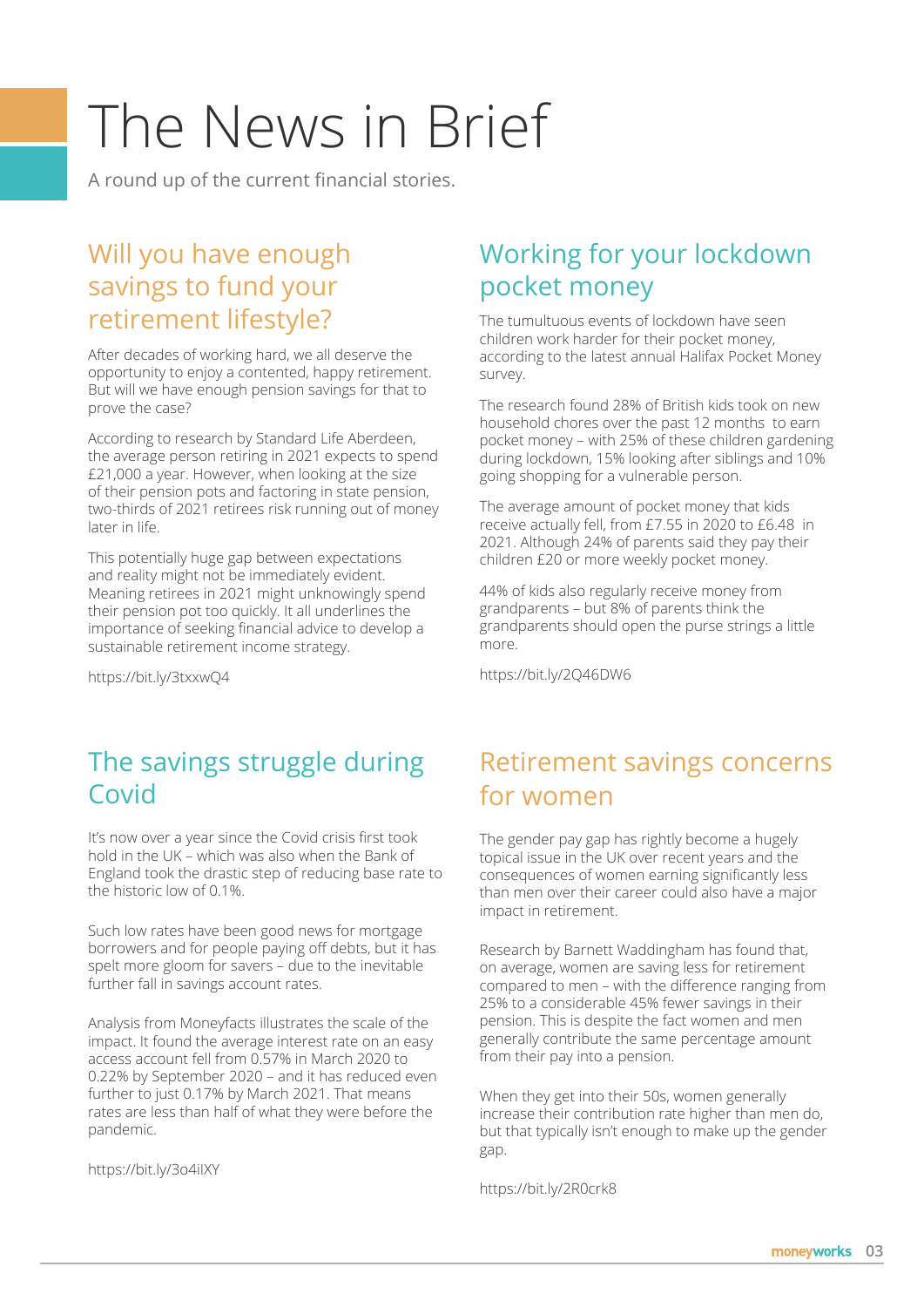# The News in Brief

A round up of the current financial stories.

### Will you have enough savings to fund your retirement lifestyle?

After decades of working hard, we all deserve the opportunity to enjoy a contented, happy retirement. But will we have enough pension savings for that to prove the case?

According to research by Standard Life Aberdeen, the average person retiring in 2021 expects to spend £21,000 a year. However, when looking at the size of their pension pots and factoring in state pension, two-thirds of 2021 retirees risk running out of money later in life.

This potentially huge gap between expectations and reality might not be immediately evident. Meaning retirees in 2021 might unknowingly spend their pension pot too quickly. It all underlines the importance of seeking financial advice to develop a sustainable retirement income strategy.

https://bit.ly/3txxwQ4

# Working for your lockdown pocket money

The tumultuous events of lockdown have seen children work harder for their pocket money, according to the latest annual Halifax Pocket Money survey.

The research found 28% of British kids took on new household chores over the past 12 months to earn pocket money – with 25% of these children gardening during lockdown, 15% looking after siblings and 10% going shopping for a vulnerable person.

The average amount of pocket money that kids receive actually fell, from £7.55 in 2020 to £6.48 in 2021. Although 24% of parents said they pay their children £20 or more weekly pocket money.

44% of kids also regularly receive money from grandparents – but 8% of parents think the grandparents should open the purse strings a little more.

https://bit.ly/2Q46DW6

### The savings struggle during Covid

It's now over a year since the Covid crisis first took hold in the UK – which was also when the Bank of England took the drastic step of reducing base rate to the historic low of 0.1%.

Such low rates have been good news for mortgage borrowers and for people paying off debts, but it has spelt more gloom for savers – due to the inevitable further fall in savings account rates.

Analysis from Moneyfacts illustrates the scale of the impact. It found the average interest rate on an easy access account fell from 0.57% in March 2020 to 0.22% by September 2020 – and it has reduced even further to just 0.17% by March 2021. That means rates are less than half of what they were before the pandemic.

https://bit.ly/3o4iIXY

## Retirement savings concerns for women

The gender pay gap has rightly become a hugely topical issue in the UK over recent years and the consequences of women earning significantly less than men over their career could also have a major impact in retirement.

Research by Barnett Waddingham has found that, on average, women are saving less for retirement compared to men – with the difference ranging from 25% to a considerable 45% fewer savings in their pension. This is despite the fact women and men generally contribute the same percentage amount from their pay into a pension.

When they get into their 50s, women generally increase their contribution rate higher than men do, but that typically isn't enough to make up the gender gap.

https://bit.ly/2R0crk8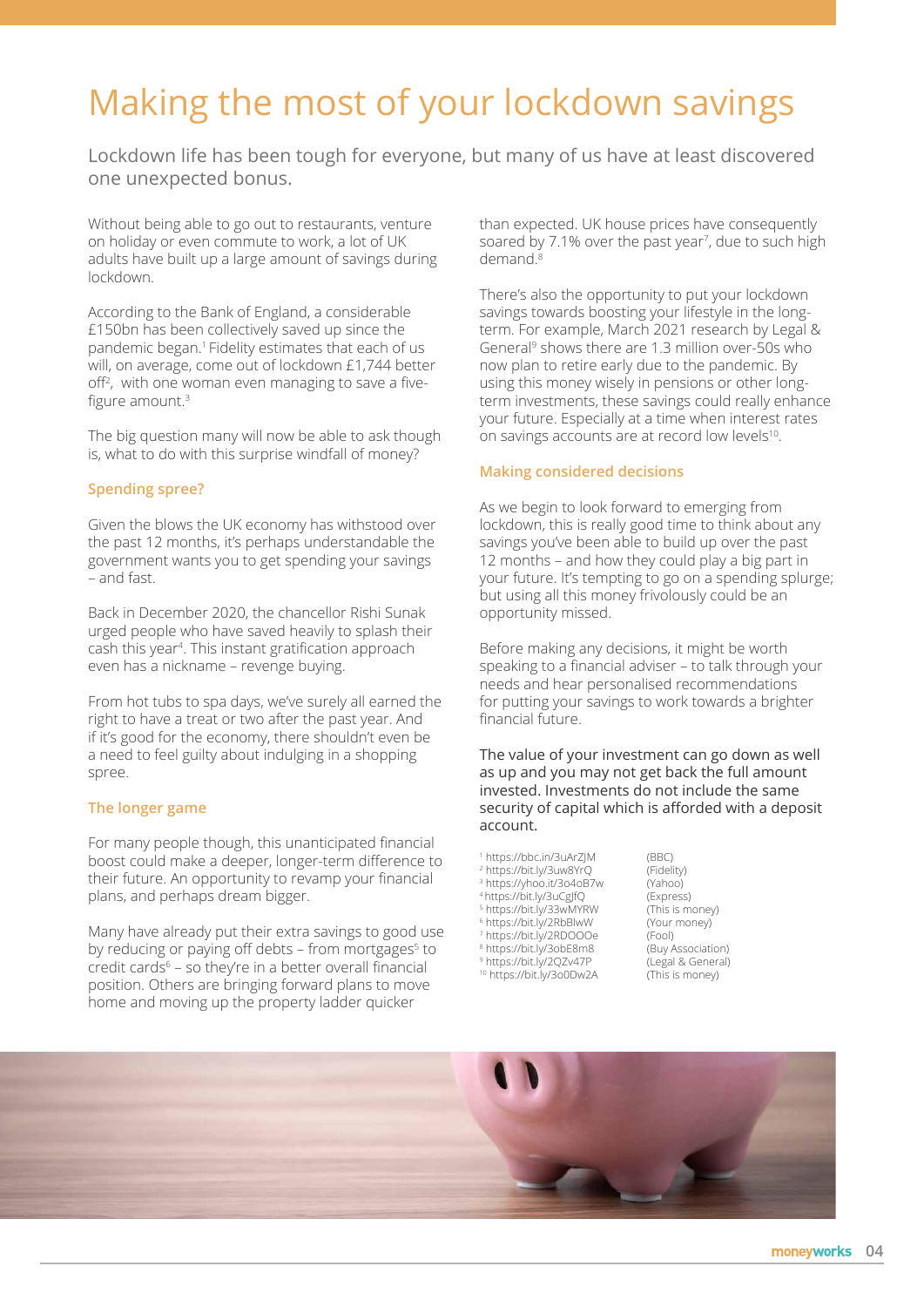# Making the most of your lockdown savings

Lockdown life has been tough for everyone, but many of us have at least discovered one unexpected bonus.

Without being able to go out to restaurants, venture on holiday or even commute to work, a lot of UK adults have built up a large amount of savings during lockdown.

According to the Bank of England, a considerable £150bn has been collectively saved up since the pandemic began.1 Fidelity estimates that each of us will, on average, come out of lockdown £1,744 better off<sup>2</sup> , with one woman even managing to save a fivefigure amount.3

The big question many will now be able to ask though is, what to do with this surprise windfall of money?

#### **Spending spree?**

Given the blows the UK economy has withstood over the past 12 months, it's perhaps understandable the government wants you to get spending your savings – and fast.

Back in December 2020, the chancellor Rishi Sunak urged people who have saved heavily to splash their cash this year<sup>4</sup>. This instant gratification approach even has a nickname – revenge buying.

From hot tubs to spa days, we've surely all earned the right to have a treat or two after the past year. And if it's good for the economy, there shouldn't even be a need to feel guilty about indulging in a shopping spree.

#### **The longer game**

For many people though, this unanticipated financial boost could make a deeper, longer-term difference to their future. An opportunity to revamp your financial plans, and perhaps dream bigger.

Many have already put their extra savings to good use by reducing or paying off debts - from mortgages<sup>5</sup> to credit cards6 – so they're in a better overall financial position. Others are bringing forward plans to move home and moving up the property ladder quicker

than expected. UK house prices have consequently soared by 7.1% over the past year<sup>7</sup>, due to such high demand<sup>8</sup>

There's also the opportunity to put your lockdown savings towards boosting your lifestyle in the longterm. For example, March 2021 research by Legal & General<sup>9</sup> shows there are 1.3 million over-50s who now plan to retire early due to the pandemic. By using this money wisely in pensions or other longterm investments, these savings could really enhance your future. Especially at a time when interest rates on savings accounts are at record low levels<sup>10</sup>.

#### **Making considered decisions**

As we begin to look forward to emerging from lockdown, this is really good time to think about any savings you've been able to build up over the past 12 months – and how they could play a big part in your future. It's tempting to go on a spending splurge; but using all this money frivolously could be an opportunity missed.

Before making any decisions, it might be worth speaking to a financial adviser – to talk through your needs and hear personalised recommendations for putting your savings to work towards a brighter financial future.

The value of your investment can go down as well as up and you may not get back the full amount invested. Investments do not include the same security of capital which is afforded with a deposit account.

 https://bbc.in/3uArZJM (BBC) https://bit.ly/3uw8YrQ (Fidelity) https://yhoo.it/3o4oB7w (Yahoo) 4 https://bit.ly/3uCgJfQ (Express)<br>5 https://bit.ly/33wMYRW (This is money) https://bit.ly/33wMYRW (This is money) https://bit.ly/2RbBlwW (Your money)

- 7 https://bit.ly/2RDOOOe (Fool)
- 8 https://bit.ly/3obE8m8 (Buy Association)
- <sup>10</sup> https://bit.ly/3o0Dw2A (This is money)

9 https://bit.ly/2QZv47P (Legal & General)

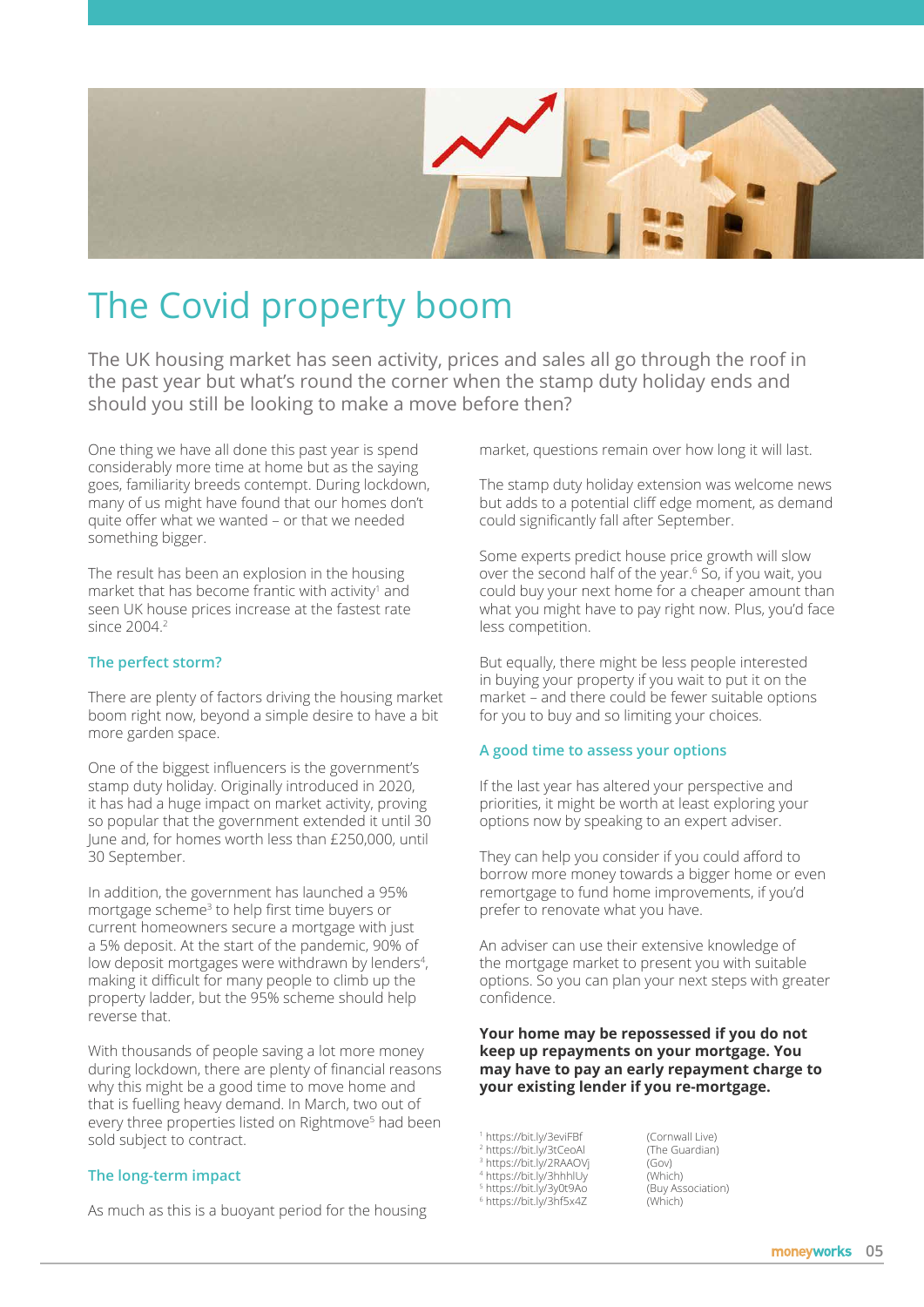

# The Covid property boom

The UK housing market has seen activity, prices and sales all go through the roof in the past year but what's round the corner when the stamp duty holiday ends and should you still be looking to make a move before then?

One thing we have all done this past year is spend considerably more time at home but as the saying goes, familiarity breeds contempt. During lockdown, many of us might have found that our homes don't quite offer what we wanted – or that we needed something bigger.

The result has been an explosion in the housing market that has become frantic with activity<sup>1</sup> and seen UK house prices increase at the fastest rate since 2004.<sup>2</sup>

#### **The perfect storm?**

There are plenty of factors driving the housing market boom right now, beyond a simple desire to have a bit more garden space.

One of the biggest influencers is the government's stamp duty holiday. Originally introduced in 2020, it has had a huge impact on market activity, proving so popular that the government extended it until 30 June and, for homes worth less than £250,000, until 30 September.

In addition, the government has launched a 95% mortgage scheme<sup>3</sup> to help first time buyers or current homeowners secure a mortgage with just a 5% deposit. At the start of the pandemic, 90% of low deposit mortgages were withdrawn by lenders<sup>4</sup>, making it difficult for many people to climb up the property ladder, but the 95% scheme should help reverse that.

With thousands of people saving a lot more money during lockdown, there are plenty of financial reasons why this might be a good time to move home and that is fuelling heavy demand. In March, two out of every three properties listed on Rightmove<sup>5</sup> had been sold subject to contract.

#### **The long-term impact**

As much as this is a buoyant period for the housing

market, questions remain over how long it will last.

The stamp duty holiday extension was welcome news but adds to a potential cliff edge moment, as demand could significantly fall after September.

Some experts predict house price growth will slow over the second half of the year.<sup>6</sup> So, if you wait, you could buy your next home for a cheaper amount than what you might have to pay right now. Plus, you'd face less competition.

But equally, there might be less people interested in buying your property if you wait to put it on the market – and there could be fewer suitable options for you to buy and so limiting your choices.

#### **A good time to assess your options**

If the last year has altered your perspective and priorities, it might be worth at least exploring your options now by speaking to an expert adviser.

They can help you consider if you could afford to borrow more money towards a bigger home or even remortgage to fund home improvements, if you'd prefer to renovate what you have.

An adviser can use their extensive knowledge of the mortgage market to present you with suitable options. So you can plan your next steps with greater confidence.

#### **Your home may be repossessed if you do not keep up repayments on your mortgage. You may have to pay an early repayment charge to your existing lender if you re-mortgage.**

1 https://bit.ly/3eviFBf (Cornwall Live)

- 2 https://bit.ly/3tCeoAl (The Guardian) 3 https://bit.ly/2RAAOVj (Gov)
- 4 https://bit.ly/3hhhlUy (Which)
- 5 https://bit.ly/3y0t9Ao (Buy Association)
- 6 https://bit.ly/3hf5x4Z (Which)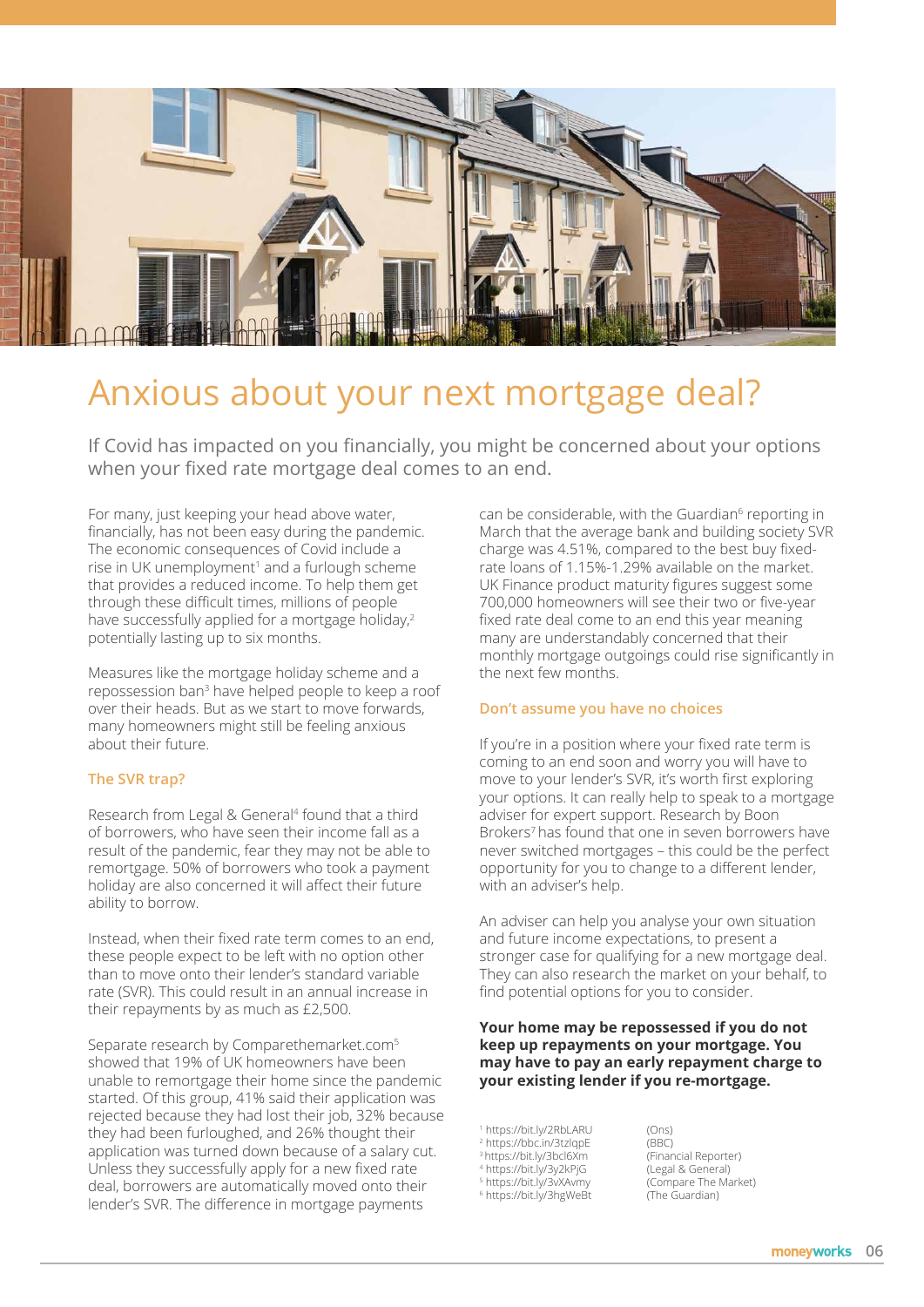

# Anxious about your next mortgage deal?

If Covid has impacted on you financially, you might be concerned about your options when your fixed rate mortgage deal comes to an end.

For many, just keeping your head above water, financially, has not been easy during the pandemic. The economic consequences of Covid include a rise in UK unemployment<sup>1</sup> and a furlough scheme that provides a reduced income. To help them get through these difficult times, millions of people have successfully applied for a mortgage holiday,<sup>2</sup> potentially lasting up to six months.

Measures like the mortgage holiday scheme and a repossession ban<sup>3</sup> have helped people to keep a roof over their heads. But as we start to move forwards, many homeowners might still be feeling anxious about their future.

#### **The SVR trap?**

Research from Legal & General<sup>4</sup> found that a third of borrowers, who have seen their income fall as a result of the pandemic, fear they may not be able to remortgage. 50% of borrowers who took a payment holiday are also concerned it will affect their future ability to borrow.

Instead, when their fixed rate term comes to an end, these people expect to be left with no option other than to move onto their lender's standard variable rate (SVR). This could result in an annual increase in their repayments by as much as £2,500.

Separate research by Comparethemarket.com<sup>5</sup> showed that 19% of UK homeowners have been unable to remortgage their home since the pandemic started. Of this group, 41% said their application was rejected because they had lost their job, 32% because they had been furloughed, and 26% thought their application was turned down because of a salary cut. Unless they successfully apply for a new fixed rate deal, borrowers are automatically moved onto their lender's SVR. The difference in mortgage payments

can be considerable, with the Guardian<sup>6</sup> reporting in March that the average bank and building society SVR charge was 4.51%, compared to the best buy fixedrate loans of 1.15%-1.29% available on the market. UK Finance product maturity figures suggest some 700,000 homeowners will see their two or five-year fixed rate deal come to an end this year meaning many are understandably concerned that their monthly mortgage outgoings could rise significantly in the next few months.

#### **Don't assume you have no choices**

If you're in a position where your fixed rate term is coming to an end soon and worry you will have to move to your lender's SVR, it's worth first exploring your options. It can really help to speak to a mortgage adviser for expert support. Research by Boon Brokers<sup>7</sup> has found that one in seven borrowers have never switched mortgages – this could be the perfect opportunity for you to change to a different lender, with an adviser's help.

An adviser can help you analyse your own situation and future income expectations, to present a stronger case for qualifying for a new mortgage deal. They can also research the market on your behalf, to find potential options for you to consider.

#### **Your home may be repossessed if you do not keep up repayments on your mortgage. You may have to pay an early repayment charge to your existing lender if you re-mortgage.**

 https://bit.ly/2RbLARU (Ons) https://bbc.in/3tzlqpE (BBC) <sup>3</sup> https://bit.ly/3bcl6Xm (Financial Reporter)<br><sup>4</sup> https://bit.ly/3y2kPjG (Legal & General) https://bit.ly/3y2kPjG (Legal & General) https://bit.ly/3vXAvmy (Compare The Market) https://bit.ly/3hgWeBt (The Guardian)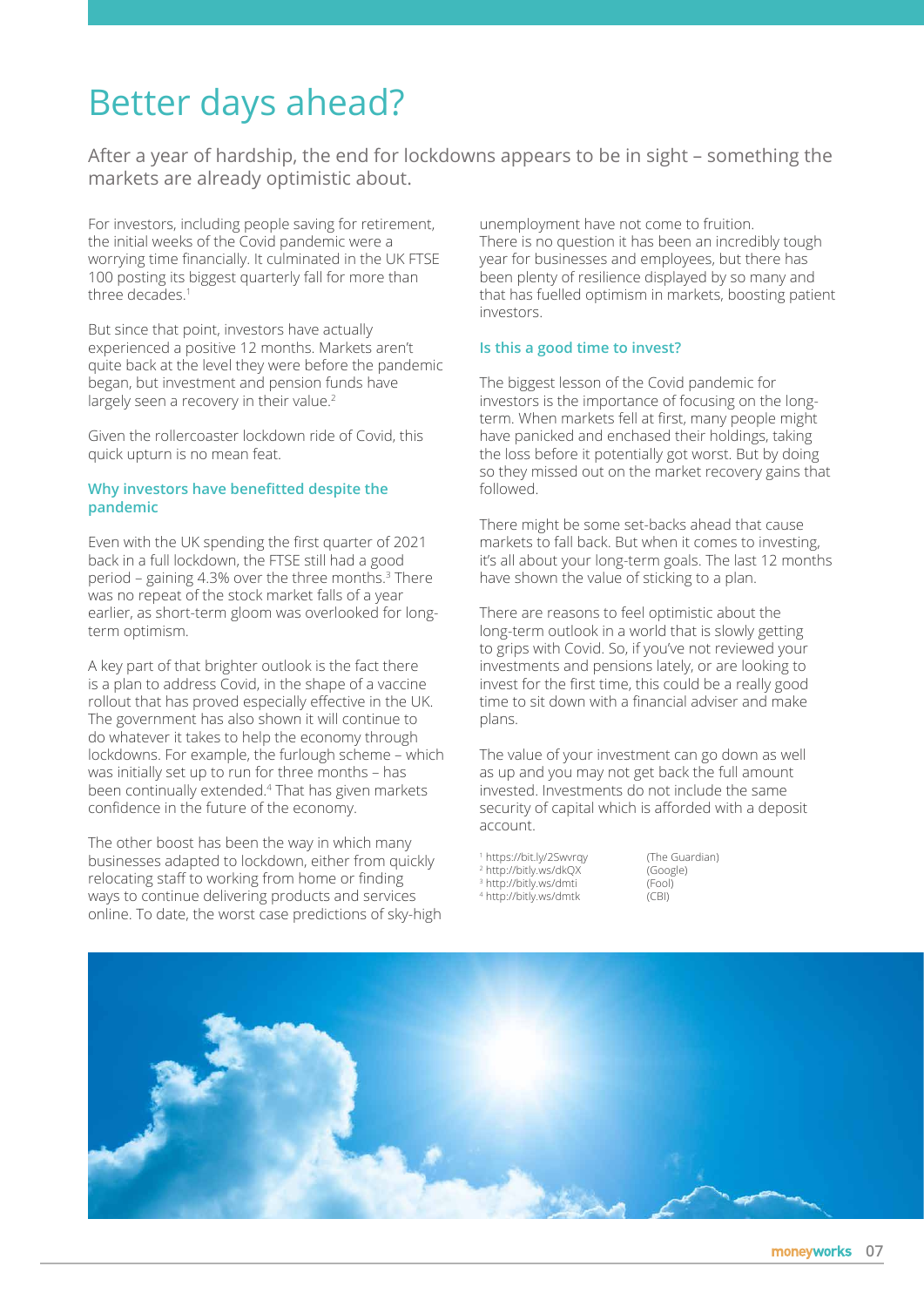# Better days ahead?

After a year of hardship, the end for lockdowns appears to be in sight – something the markets are already optimistic about.

For investors, including people saving for retirement, the initial weeks of the Covid pandemic were a worrying time financially. It culminated in the UK FTSE 100 posting its biggest quarterly fall for more than three decades.<sup>1</sup>

But since that point, investors have actually experienced a positive 12 months. Markets aren't quite back at the level they were before the pandemic began, but investment and pension funds have largely seen a recovery in their value.<sup>2</sup>

Given the rollercoaster lockdown ride of Covid, this quick upturn is no mean feat.

#### **Why investors have benefitted despite the pandemic**

Even with the UK spending the first quarter of 2021 back in a full lockdown, the FTSE still had a good period – gaining 4.3% over the three months.3 There was no repeat of the stock market falls of a year earlier, as short-term gloom was overlooked for longterm optimism.

A key part of that brighter outlook is the fact there is a plan to address Covid, in the shape of a vaccine rollout that has proved especially effective in the UK. The government has also shown it will continue to do whatever it takes to help the economy through lockdowns. For example, the furlough scheme – which was initially set up to run for three months – has been continually extended.4 That has given markets confidence in the future of the economy.

The other boost has been the way in which many businesses adapted to lockdown, either from quickly relocating staff to working from home or finding ways to continue delivering products and services online. To date, the worst case predictions of sky-high

unemployment have not come to fruition. There is no question it has been an incredibly tough year for businesses and employees, but there has been plenty of resilience displayed by so many and that has fuelled optimism in markets, boosting patient investors.

#### **Is this a good time to invest?**

The biggest lesson of the Covid pandemic for investors is the importance of focusing on the longterm. When markets fell at first, many people might have panicked and enchased their holdings, taking the loss before it potentially got worst. But by doing so they missed out on the market recovery gains that followed.

There might be some set-backs ahead that cause markets to fall back. But when it comes to investing, it's all about your long-term goals. The last 12 months have shown the value of sticking to a plan.

There are reasons to feel optimistic about the long-term outlook in a world that is slowly getting to grips with Covid. So, if you've not reviewed your investments and pensions lately, or are looking to invest for the first time, this could be a really good time to sit down with a financial adviser and make plans.

The value of your investment can go down as well as up and you may not get back the full amount invested. Investments do not include the same security of capital which is afforded with a deposit account.

 https://bit.ly/2Swvrqy (The Guardian) http://bitly.ws/dkQX (Google) http://bitly.ws/dmti (Fool) http://bitly.ws/dmtk (CBI)